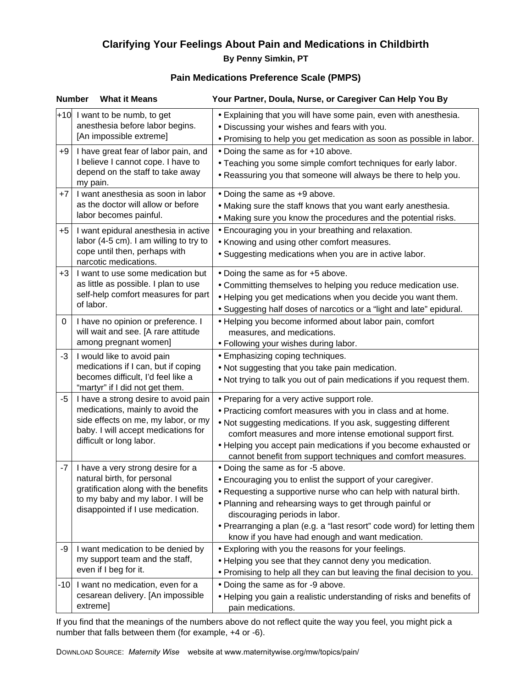# **Clarifying Your Feelings About Pain and Medications in Childbirth By Penny Simkin, PT**

### **Pain Medications Preference Scale (PMPS)**

| <b>Number</b><br><b>What it Means</b> |                                                                                                                                                                                      | Your Partner, Doula, Nurse, or Caregiver Can Help You By                                                                                                                                                                                                                                                                                                                                         |
|---------------------------------------|--------------------------------------------------------------------------------------------------------------------------------------------------------------------------------------|--------------------------------------------------------------------------------------------------------------------------------------------------------------------------------------------------------------------------------------------------------------------------------------------------------------------------------------------------------------------------------------------------|
|                                       | $+10$ I want to be numb, to get<br>anesthesia before labor begins.<br>[An impossible extreme]                                                                                        | • Explaining that you will have some pain, even with anesthesia.<br>. Discussing your wishes and fears with you.<br>• Promising to help you get medication as soon as possible in labor.                                                                                                                                                                                                         |
| $+9$                                  | I have great fear of labor pain, and<br>I believe I cannot cope. I have to<br>depend on the staff to take away<br>my pain.                                                           | • Doing the same as for +10 above.<br>• Teaching you some simple comfort techniques for early labor.<br>. Reassuring you that someone will always be there to help you.                                                                                                                                                                                                                          |
| $+7$                                  | I want anesthesia as soon in labor<br>as the doctor will allow or before<br>labor becomes painful.                                                                                   | • Doing the same as +9 above.<br>• Making sure the staff knows that you want early anesthesia.<br>• Making sure you know the procedures and the potential risks.                                                                                                                                                                                                                                 |
| $+5$                                  | I want epidural anesthesia in active<br>labor (4-5 cm). I am willing to try to<br>cope until then, perhaps with<br>narcotic medications.                                             | • Encouraging you in your breathing and relaxation.<br>• Knowing and using other comfort measures.<br>• Suggesting medications when you are in active labor.                                                                                                                                                                                                                                     |
| $+3$                                  | I want to use some medication but<br>as little as possible. I plan to use<br>self-help comfort measures for part<br>of labor.                                                        | • Doing the same as for +5 above.<br>• Committing themselves to helping you reduce medication use.<br>• Helping you get medications when you decide you want them.<br>• Suggesting half doses of narcotics or a "light and late" epidural.                                                                                                                                                       |
| 0                                     | I have no opinion or preference. I<br>will wait and see. [A rare attitude<br>among pregnant women]                                                                                   | · Helping you become informed about labor pain, comfort<br>measures, and medications.<br>. Following your wishes during labor.                                                                                                                                                                                                                                                                   |
| $-3$                                  | I would like to avoid pain<br>medications if I can, but if coping<br>becomes difficult, I'd feel like a<br>"martyr" if I did not get them.                                           | • Emphasizing coping techniques.<br>. Not suggesting that you take pain medication.<br>. Not trying to talk you out of pain medications if you request them.                                                                                                                                                                                                                                     |
| -5                                    | I have a strong desire to avoid pain<br>medications, mainly to avoid the<br>side effects on me, my labor, or my<br>baby. I will accept medications for<br>difficult or long labor.   | • Preparing for a very active support role.<br>• Practicing comfort measures with you in class and at home.<br>. Not suggesting medications. If you ask, suggesting different<br>comfort measures and more intense emotional support first.<br>• Helping you accept pain medications if you become exhausted or<br>cannot benefit from support techniques and comfort measures.                  |
| -7                                    | I have a very strong desire for a<br>natural birth, for personal<br>gratification along with the benefits<br>to my baby and my labor. I will be<br>disappointed if I use medication. | • Doing the same as for -5 above.<br>• Encouraging you to enlist the support of your caregiver.<br>• Requesting a supportive nurse who can help with natural birth.<br>. Planning and rehearsing ways to get through painful or<br>discouraging periods in labor.<br>• Prearranging a plan (e.g. a "last resort" code word) for letting them<br>know if you have had enough and want medication. |
| -9                                    | I want medication to be denied by<br>my support team and the staff,<br>even if I beg for it.                                                                                         | • Exploring with you the reasons for your feelings.<br>• Helping you see that they cannot deny you medication.<br>. Promising to help all they can but leaving the final decision to you.                                                                                                                                                                                                        |
| -101                                  | I want no medication, even for a<br>cesarean delivery. [An impossible<br>extreme]                                                                                                    | • Doing the same as for -9 above.<br>• Helping you gain a realistic understanding of risks and benefits of<br>pain medications.                                                                                                                                                                                                                                                                  |

If you find that the meanings of the numbers above do not reflect quite the way you feel, you might pick a number that falls between them (for example, +4 or -6).

DownLoad Source: Maternity Wise<sup>™</sup> website at www.maternitywise.org/mw/topics/pain/